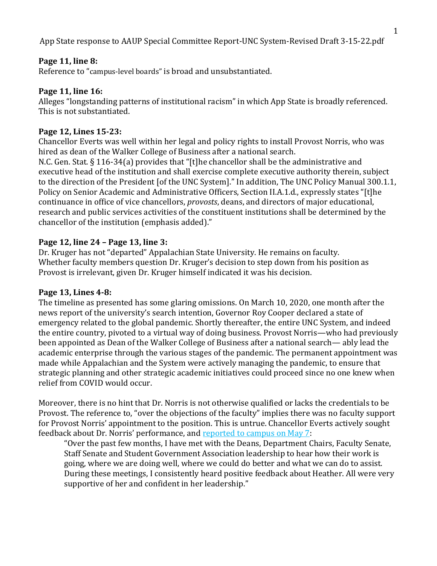## **Page 11, line 8:**

Reference to "campus-level boards" is broad and unsubstantiated.

# **Page 11, line 16:**

Alleges "longstanding patterns of institutional racism" in which App State is broadly referenced. This is not substantiated.

# **Page 12, Lines 15-23:**

Chancellor Everts was well within her legal and policy rights to install Provost Norris, who was hired as dean of the Walker College of Business after a national search.

N.C. Gen. Stat. § 116-34(a) provides that "[t]he chancellor shall be the administrative and executive head of the institution and shall exercise complete executive authority therein, subject to the direction of the President [of the UNC System]." In addition, The UNC Policy Manual 300.1.1, Policy on Senior Academic and Administrative Officers, Section II.A.1.d., expressly states "[t]he continuance in office of vice chancellors, *provosts*, deans, and directors of major educational, research and public services activities of the constituent institutions shall be determined by the chancellor of the institution (emphasis added)."

# **Page 12, line 24 – Page 13, line 3:**

Dr. Kruger has not "departed" Appalachian State University. He remains on faculty. Whether faculty members question Dr. Kruger's decision to step down from his position as Provost is irrelevant, given Dr. Kruger himself indicated it was his decision.

## **Page 13, Lines 4-8:**

The timeline as presented has some glaring omissions. On March 10, 2020, one month after the news report of the university's search intention, Governor Roy Cooper declared a state of emergency related to the global pandemic. Shortly thereafter, the entire UNC System, and indeed the entire country, pivoted to a virtual way of doing business. Provost Norris—who had previously been appointed as Dean of the Walker College of Business after a national search— ably lead the academic enterprise through the various stages of the pandemic. The permanent appointment was made while Appalachian and the System were actively managing the pandemic, to ensure that strategic planning and other strategic academic initiatives could proceed since no one knew when relief from COVID would occur.

Moreover, there is no hint that Dr. Norris is not otherwise qualified or lacks the credentials to be Provost. The reference to, "over the objections of the faculty" implies there was no faculty support for Provost Norris' appointment to the position. This is untrue. Chancellor Everts actively sought feedback about Dr. Norris' performance, and [reported to campus](https://chancellor.appstate.edu/messages/id/221) on May 7:

"Over the past few months, I have met with the Deans, Department Chairs, Faculty Senate, Staff Senate and Student Government Association leadership to hear how their work is going, where we are doing well, where we could do better and what we can do to assist. During these meetings, I consistently heard positive feedback about Heather. All were very supportive of her and confident in her leadership."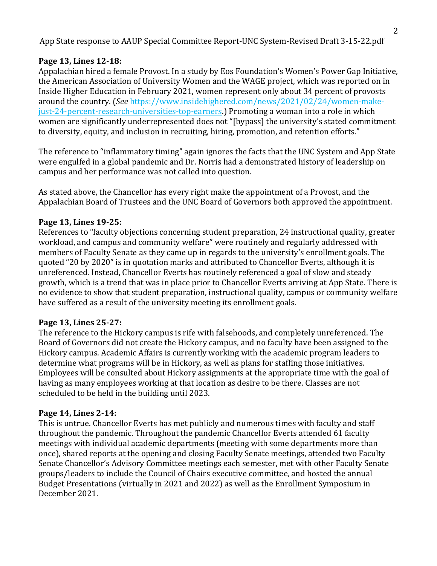# **Page 13, Lines 12-18:**

Appalachian hired a female Provost. In a study by Eos Foundation's Women's Power Gap Initiative, the American Association of University Women and the WAGE project, which was reported on in Inside Higher Education in February 2021, women represent only about 34 percent of provosts around the country. (*See* [https://www.insidehighered.com/news/2021/02/24/women-make](https://www.insidehighered.com/news/2021/02/24/women-make-just-24-percent-research-universities-top-earners)[just-24-percent-research-universities-top-earners.](https://www.insidehighered.com/news/2021/02/24/women-make-just-24-percent-research-universities-top-earners)) Promoting a woman into a role in which women are significantly underrepresented does not "[bypass] the university's stated commitment to diversity, equity, and inclusion in recruiting, hiring, promotion, and retention efforts."

The reference to "inflammatory timing" again ignores the facts that the UNC System and App State were engulfed in a global pandemic and Dr. Norris had a demonstrated history of leadership on campus and her performance was not called into question.

As stated above, the Chancellor has every right make the appointment of a Provost, and the Appalachian Board of Trustees and the UNC Board of Governors both approved the appointment.

# **Page 13, Lines 19-25:**

References to "faculty objections concerning student preparation, 24 instructional quality, greater workload, and campus and community welfare" were routinely and regularly addressed with members of Faculty Senate as they came up in regards to the university's enrollment goals. The quoted "20 by 2020" is in quotation marks and attributed to Chancellor Everts, although it is unreferenced. Instead, Chancellor Everts has routinely referenced a goal of slow and steady growth, which is a trend that was in place prior to Chancellor Everts arriving at App State. There is no evidence to show that student preparation, instructional quality, campus or community welfare have suffered as a result of the university meeting its enrollment goals.

## **Page 13, Lines 25-27:**

The reference to the Hickory campus is rife with falsehoods, and completely unreferenced. The Board of Governors did not create the Hickory campus, and no faculty have been assigned to the Hickory campus. Academic Affairs is currently working with the academic program leaders to determine what programs will be in Hickory, as well as plans for staffing those initiatives. Employees will be consulted about Hickory assignments at the appropriate time with the goal of having as many employees working at that location as desire to be there. Classes are not scheduled to be held in the building until 2023.

## **Page 14, Lines 2-14:**

This is untrue. Chancellor Everts has met publicly and numerous times with faculty and staff throughout the pandemic. Throughout the pandemic Chancellor Everts attended 61 faculty meetings with individual academic departments (meeting with some departments more than once), shared reports at the opening and closing Faculty Senate meetings, attended two Faculty Senate Chancellor's Advisory Committee meetings each semester, met with other Faculty Senate groups/leaders to include the Council of Chairs executive committee, and hosted the annual Budget Presentations (virtually in 2021 and 2022) as well as the Enrollment Symposium in December 2021.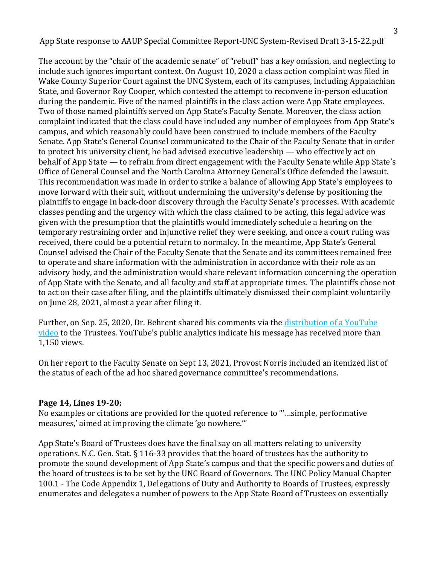The account by the "chair of the academic senate" of "rebuff" has a key omission, and neglecting to include such ignores important context. On August 10, 2020 a class action complaint was filed in Wake County Superior Court against the UNC System, each of its campuses, including Appalachian State, and Governor Roy Cooper, which contested the attempt to reconvene in-person education during the pandemic. Five of the named plaintiffs in the class action were App State employees. Two of those named plaintiffs served on App State's Faculty Senate. Moreover, the class action complaint indicated that the class could have included any number of employees from App State's campus, and which reasonably could have been construed to include members of the Faculty Senate. App State's General Counsel communicated to the Chair of the Faculty Senate that in order to protect his university client, he had advised executive leadership — who effectively act on behalf of App State — to refrain from direct engagement with the Faculty Senate while App State's Office of General Counsel and the North Carolina Attorney General's Office defended the lawsuit. This recommendation was made in order to strike a balance of allowing App State's employees to move forward with their suit, without undermining the university's defense by positioning the plaintiffs to engage in back-door discovery through the Faculty Senate's processes. With academic classes pending and the urgency with which the class claimed to be acting, this legal advice was given with the presumption that the plaintiffs would immediately schedule a hearing on the temporary restraining order and injunctive relief they were seeking, and once a court ruling was received, there could be a potential return to normalcy. In the meantime, App State's General Counsel advised the Chair of the Faculty Senate that the Senate and its committees remained free to operate and share information with the administration in accordance with their role as an advisory body, and the administration would share relevant information concerning the operation of App State with the Senate, and all faculty and staff at appropriate times. The plaintiffs chose not to act on their case after filing, and the plaintiffs ultimately dismissed their complaint voluntarily on June 28, 2021, almost a year after filing it.

Further, on Sep. 25, 2020, Dr. Behrent shared his comments via the [distribution of a YouTube](https://www.youtube.com/watch?v=uyU9ID_eSw4)  [video](https://www.youtube.com/watch?v=uyU9ID_eSw4) to the Trustees. YouTube's public analytics indicate his message has received more than 1,150 views.

On her report to the Faculty Senate on Sept 13, 2021, Provost Norris included an itemized list of the status of each of the ad hoc shared governance committee's recommendations.

## **Page 14, Lines 19-20:**

No examples or citations are provided for the quoted reference to "'…simple, performative measures,' aimed at improving the climate 'go nowhere.'"

App State's Board of Trustees does have the final say on all matters relating to university operations. N.C. Gen. Stat. § 116-33 provides that the board of trustees has the authority to promote the sound development of App State's campus and that the specific powers and duties of the board of trustees is to be set by the UNC Board of Governors. The UNC Policy Manual Chapter 100.1 - The Code Appendix 1, Delegations of Duty and Authority to Boards of Trustees, expressly enumerates and delegates a number of powers to the App State Board of Trustees on essentially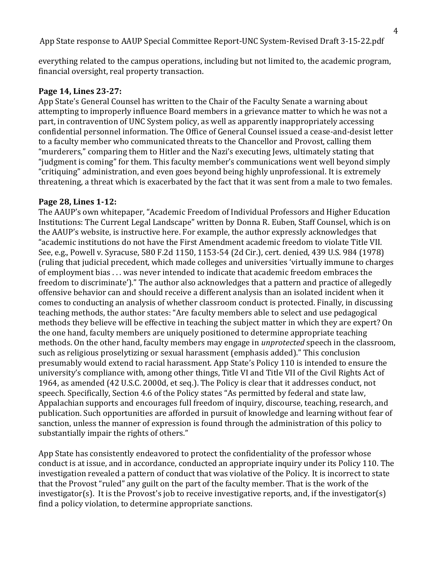everything related to the campus operations, including but not limited to, the academic program, financial oversight, real property transaction.

#### **Page 14, Lines 23-27:**

App State's General Counsel has written to the Chair of the Faculty Senate a warning about attempting to improperly influence Board members in a grievance matter to which he was not a part, in contravention of UNC System policy, as well as apparently inappropriately accessing confidential personnel information. The Office of General Counsel issued a cease-and-desist letter to a faculty member who communicated threats to the Chancellor and Provost, calling them "murderers," comparing them to Hitler and the Nazi's executing Jews, ultimately stating that "judgment is coming" for them. This faculty member's communications went well beyond simply "critiquing" administration, and even goes beyond being highly unprofessional. It is extremely threatening, a threat which is exacerbated by the fact that it was sent from a male to two females.

#### **Page 28, Lines 1-12:**

The AAUP's own whitepaper, "Academic Freedom of Individual Professors and Higher Education Institutions: The Current Legal Landscape" written by Donna R. Euben, Staff Counsel, which is on the AAUP's website, is instructive here. For example, the author expressly acknowledges that "academic institutions do not have the First Amendment academic freedom to violate Title VII. See, e.g., Powell v. Syracuse, 580 F.2d 1150, 1153-54 (2d Cir.), cert. denied, 439 U.S. 984 (1978) (ruling that judicial precedent, which made colleges and universities 'virtually immune to charges of employment bias . . . was never intended to indicate that academic freedom embraces the freedom to discriminate')." The author also acknowledges that a pattern and practice of allegedly offensive behavior can and should receive a different analysis than an isolated incident when it comes to conducting an analysis of whether classroom conduct is protected. Finally, in discussing teaching methods, the author states: "Are faculty members able to select and use pedagogical methods they believe will be effective in teaching the subject matter in which they are expert? On the one hand, faculty members are uniquely positioned to determine appropriate teaching methods. On the other hand, faculty members may engage in *unprotected* speech in the classroom, such as religious proselytizing or sexual harassment (emphasis added)." This conclusion presumably would extend to racial harassment. App State's Policy 110 is intended to ensure the university's compliance with, among other things, Title VI and Title VII of the Civil Rights Act of 1964, as amended (42 U.S.C. 2000d, et seq.). The Policy is clear that it addresses conduct, not speech. Specifically, Section 4.6 of the Policy states "As permitted by federal and state law, Appalachian supports and encourages full freedom of inquiry, discourse, teaching, research, and publication. Such opportunities are afforded in pursuit of knowledge and learning without fear of sanction, unless the manner of expression is found through the administration of this policy to substantially impair the rights of others."

App State has consistently endeavored to protect the confidentiality of the professor whose conduct is at issue, and in accordance, conducted an appropriate inquiry under its Policy 110. The investigation revealed a pattern of conduct that was violative of the Policy. It is incorrect to state that the Provost "ruled" any guilt on the part of the faculty member. That is the work of the investigator(s). It is the Provost's job to receive investigative reports, and, if the investigator(s) find a policy violation, to determine appropriate sanctions.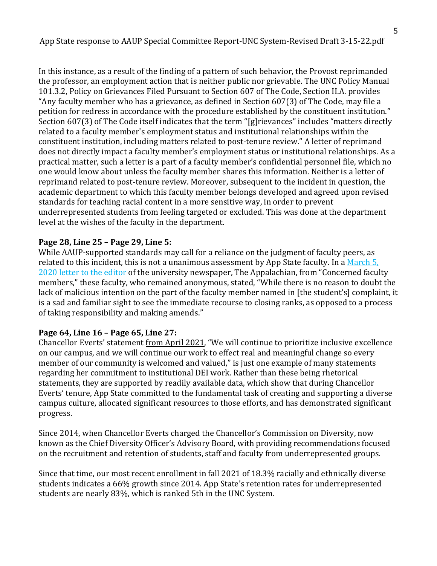In this instance, as a result of the finding of a pattern of such behavior, the Provost reprimanded the professor, an employment action that is neither public nor grievable. The UNC Policy Manual 101.3.2, Policy on Grievances Filed Pursuant to Section 607 of The Code, Section II.A. provides "Any faculty member who has a grievance, as defined in Section 607(3) of The Code, may file a petition for redress in accordance with the procedure established by the constituent institution." Section 607(3) of The Code itself indicates that the term "[g]rievances" includes "matters directly related to a faculty member's employment status and institutional relationships within the constituent institution, including matters related to post-tenure review." A letter of reprimand does not directly impact a faculty member's employment status or institutional relationships. As a practical matter, such a letter is a part of a faculty member's confidential personnel file, which no one would know about unless the faculty member shares this information. Neither is a letter of reprimand related to post-tenure review. Moreover, subsequent to the incident in question, the academic department to which this faculty member belongs developed and agreed upon revised standards for teaching racial content in a more sensitive way, in order to prevent underrepresented students from feeling targeted or excluded. This was done at the department level at the wishes of the faculty in the department.

#### **Page 28, Line 25 – Page 29, Line 5:**

While AAUP-supported standards may call for a reliance on the judgment of faculty peers, as related to this incident, this is not a unanimous assessment by App State faculty. In a March 5, [2020 letter to the editor](https://theappalachianonline.com/letter-to-the-editor-concerned-faculty-members/) of the university newspaper, The Appalachian, from "Concerned faculty members," these faculty, who remained anonymous, stated, "While there is no reason to doubt the lack of malicious intention on the part of the faculty member named in [the student's] complaint, it is a sad and familiar sight to see the immediate recourse to closing ranks, as opposed to a process of taking responsibility and making amends."

#### **Page 64, Line 16 – Page 65, Line 27:**

Chancellor Everts' statement [from April 2021,](https://chancellor.appstate.edu/messages/id/217) "We will continue to prioritize inclusive excellence on our campus, and we will continue our work to effect real and meaningful change so every member of our community is welcomed and valued," is just one example of many statements regarding her commitment to institutional DEI work. Rather than these being rhetorical statements, they are supported by readily available data, which show that during Chancellor Everts' tenure, App State committed to the fundamental task of creating and supporting a diverse campus culture, allocated significant resources to those efforts, and has demonstrated significant progress.

Since 2014, when Chancellor Everts charged the Chancellor's Commission on Diversity, now known as the Chief Diversity Officer's Advisory Board, with providing recommendations focused on the recruitment and retention of students, staff and faculty from underrepresented groups.

Since that time, our most recent enrollment in fall 2021 of 18.3% racially and ethnically diverse students indicates a 66% growth since 2014. App State's retention rates for underrepresented students are nearly 83%, which is ranked 5th in the UNC System.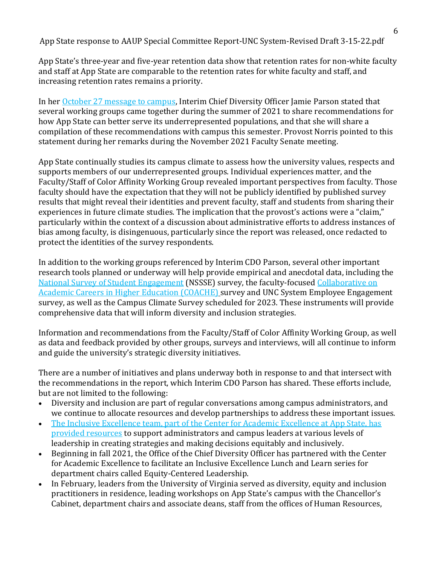App State's three-year and five-year retention data show that retention rates for non-white faculty and staff at App State are comparable to the retention rates for white faculty and staff, and increasing retention rates remains a priority.

In her [October 27 message to campus,](https://diversity.appstate.edu/news/id/274) Interim Chief Diversity Officer Jamie Parson stated that several working groups came together during the summer of 2021 to share recommendations for how App State can better serve its underrepresented populations, and that she will share a compilation of these recommendations with campus this semester. Provost Norris pointed to this statement during her remarks during the November 2021 Faculty Senate meeting.

App State continually studies its campus climate to assess how the university values, respects and supports members of our underrepresented groups. Individual experiences matter, and the Faculty/Staff of Color Affinity Working Group revealed important perspectives from faculty. Those faculty should have the expectation that they will not be publicly identified by published survey results that might reveal their identities and prevent faculty, staff and students from sharing their experiences in future climate studies. The implication that the provost's actions were a "claim," particularly within the context of a discussion about administrative efforts to address instances of bias among faculty, is disingenuous, particularly since the report was released, once redacted to protect the identities of the survey respondents.

In addition to the working groups referenced by Interim CDO Parson, several other important research tools planned or underway will help provide empirical and anecdotal data, including the [National Survey of Student Engagement](https://nsse.indiana.edu/nsse/about-nsse/index.html) (NSSSE) survey, the faculty-focuse[d Collaborative on](https://coache.gse.harvard.edu/)  [Academic Careers in Higher Education \(COACHE\)](https://coache.gse.harvard.edu/) survey and UNC System Employee Engagement survey, as well as the Campus Climate Survey scheduled for 2023. These instruments will provide comprehensive data that will inform diversity and inclusion strategies.

Information and recommendations from the Faculty/Staff of Color Affinity Working Group, as well as data and feedback provided by other groups, surveys and interviews, will all continue to inform and guide the university's strategic diversity initiatives.

There are a number of initiatives and plans underway both in response to and that intersect with the recommendations in the report, which Interim CDO Parson has shared. These efforts include, but are not limited to the following:

- Diversity and inclusion are part of regular conversations among campus administrators, and we continue to allocate resources and develop partnerships to address these important issues.
- [The Inclusive Excellence team, part of the Center for Academic Excellence at App State, has](https://cae.appstate.edu/inclusive-excellence/inclusive-leadership-resources)  [provided resources](https://cae.appstate.edu/inclusive-excellence/inclusive-leadership-resources) to support administrators and campus leaders at various levels of leadership in creating strategies and making decisions equitably and inclusively.
- Beginning in fall 2021, the Office of the Chief Diversity Officer has partnered with the Center for Academic Excellence to facilitate an Inclusive Excellence Lunch and Learn series for department chairs called Equity-Centered Leadership.
- In February, leaders from the University of Virginia served as diversity, equity and inclusion practitioners in residence, leading workshops on App State's campus with the Chancellor's Cabinet, department chairs and associate deans, staff from the offices of Human Resources,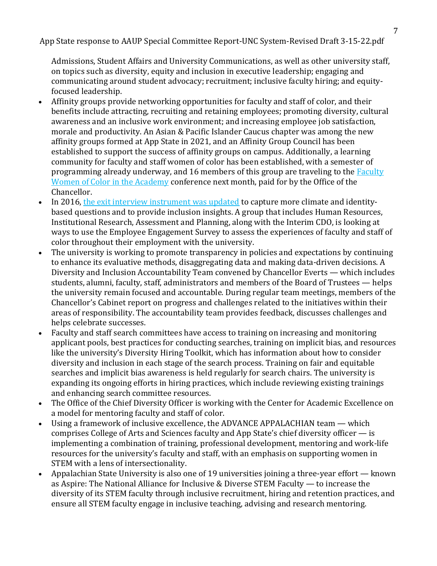Admissions, Student Affairs and University Communications, as well as other university staff, on topics such as diversity, equity and inclusion in executive leadership; engaging and communicating around student advocacy; recruitment; inclusive faculty hiring; and equityfocused leadership.

- Affinity groups provide networking opportunities for faculty and staff of color, and their benefits include attracting, recruiting and retaining employees; promoting diversity, cultural awareness and an inclusive work environment; and increasing employee job satisfaction, morale and productivity. An Asian & Pacific Islander Caucus chapter was among the new affinity groups formed at App State in 2021, and an Affinity Group Council has been established to support the success of affinity groups on campus. Additionally, a learning community for faculty and staff women of color has been established, with a semester of programming already underway, and 16 members of this group are traveling to the **Faculty** [Women of Color in the Academy](https://www.inclusive.vt.edu/Programs/FWCA.html) conference next month, paid for by the Office of the Chancellor.
- In 2016, [the exit interview instrument was updated](https://diversity.appstate.edu/milestones/) to capture more climate and identitybased questions and to provide inclusion insights. A group that includes Human Resources, Institutional Research, Assessment and Planning, along with the Interim CDO, is looking at ways to use the Employee Engagement Survey to assess the experiences of faculty and staff of color throughout their employment with the university.
- The university is working to promote transparency in policies and expectations by continuing to enhance its evaluative methods, disaggregating data and making data-driven decisions. A Diversity and Inclusion Accountability Team convened by Chancellor Everts — which includes students, alumni, faculty, staff, administrators and members of the Board of Trustees — helps the university remain focused and accountable. During regular team meetings, members of the Chancellor's Cabinet report on progress and challenges related to the initiatives within their areas of responsibility. The accountability team provides feedback, discusses challenges and helps celebrate successes.
- Faculty and staff search committees have access to training on increasing and monitoring applicant pools, best practices for conducting searches, training on implicit bias, and resources like the university's Diversity Hiring Toolkit, which has information about how to consider diversity and inclusion in each stage of the search process. Training on fair and equitable searches and implicit bias awareness is held regularly for search chairs. The university is expanding its ongoing efforts in hiring practices, which include reviewing existing trainings and enhancing search committee resources.
- The Office of the Chief Diversity Officer is working with the Center for Academic Excellence on a model for mentoring faculty and staff of color.
- Using a framework of inclusive excellence, the ADVANCE APPALACHIAN team which comprises College of Arts and Sciences faculty and App State's chief diversity officer — is implementing a combination of training, professional development, mentoring and work-life resources for the university's faculty and staff, with an emphasis on supporting women in STEM with a lens of intersectionality.
- Appalachian State University is also one of 19 universities joining a three-year effort known as Aspire: The National Alliance for Inclusive & Diverse STEM Faculty — to increase the diversity of its STEM faculty through inclusive recruitment, hiring and retention practices, and ensure all STEM faculty engage in inclusive teaching, advising and research mentoring.